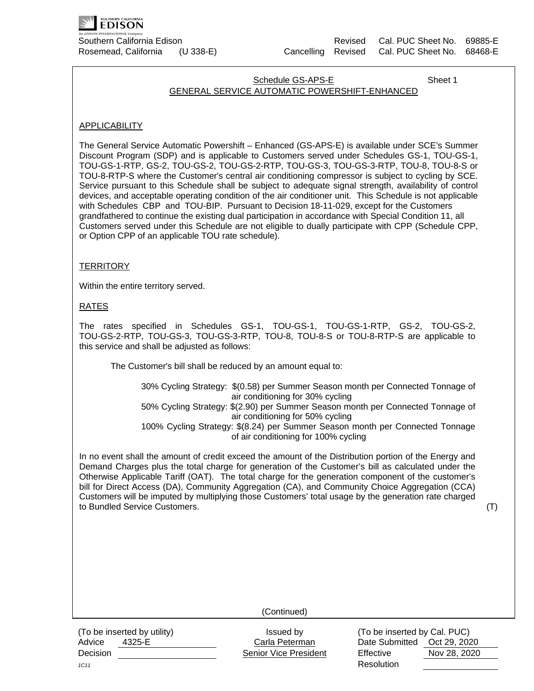

## Schedule GS-APS-E Sheet 1 GENERAL SERVICE AUTOMATIC POWERSHIFT-ENHANCED

## APPLICABILITY

The General Service Automatic Powershift – Enhanced (GS-APS-E) is available under SCE's Summer Discount Program (SDP) and is applicable to Customers served under Schedules GS-1, TOU-GS-1, TOU-GS-1-RTP, GS-2, TOU-GS-2, TOU-GS-2-RTP, TOU-GS-3, TOU-GS-3-RTP, TOU-8, TOU-8-S or TOU-8-RTP-S where the Customer's central air conditioning compressor is subject to cycling by SCE. Service pursuant to this Schedule shall be subject to adequate signal strength, availability of control devices, and acceptable operating condition of the air conditioner unit. This Schedule is not applicable with Schedules CBP and TOU-BIP. Pursuant to Decision 18-11-029, except for the Customers grandfathered to continue the existing dual participation in accordance with Special Condition 11, all Customers served under this Schedule are not eligible to dually participate with CPP (Schedule CPP, or Option CPP of an applicable TOU rate schedule).

## **TERRITORY**

Within the entire territory served.

### RATES

The rates specified in Schedules GS-1, TOU-GS-1, TOU-GS-1-RTP, GS-2, TOU-GS-2, TOU-GS-2-RTP, TOU-GS-3, TOU-GS-3-RTP, TOU-8, TOU-8-S or TOU-8-RTP-S are applicable to this service and shall be adjusted as follows:

The Customer's bill shall be reduced by an amount equal to:

30% Cycling Strategy: \$(0.58) per Summer Season month per Connected Tonnage of air conditioning for 30% cycling 50% Cycling Strategy: \$(2.90) per Summer Season month per Connected Tonnage of air conditioning for 50% cycling 100% Cycling Strategy: \$(8.24) per Summer Season month per Connected Tonnage of air conditioning for 100% cycling

In no event shall the amount of credit exceed the amount of the Distribution portion of the Energy and Demand Charges plus the total charge for generation of the Customer's bill as calculated under the Otherwise Applicable Tariff (OAT). The total charge for the generation component of the customer's bill for Direct Access (DA), Community Aggregation (CA), and Community Choice Aggregation (CCA) Customers will be imputed by multiplying those Customers' total usage by the generation rate charged to Bundled Service Customers. (T)

(Continued)

(To be inserted by utility) Issued by Issued by (To be inserted by Cal. PUC)

Advice 4325-E Carla Peterman Date Submitted Oct 29, 2020 Decision **Network** Senior Vice President Effective Nov 28, 2020 *1C11* **Resolution**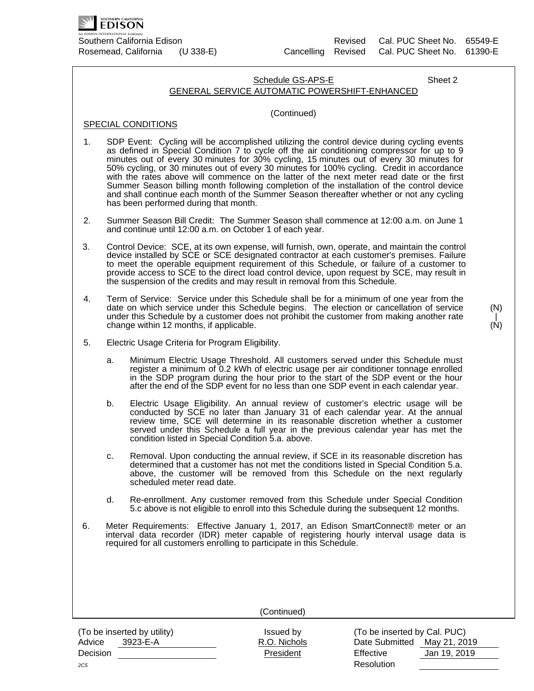

# Schedule GS-APS-E Sheet 2 GENERAL SERVICE AUTOMATIC POWERSHIFT-ENHANCED

### (Continued)

## SPECIAL CONDITIONS

- 1. SDP Event: Cycling will be accomplished utilizing the control device during cycling events as defined in Special Condition 7 to cycle off the air conditioning compressor for up to 9 minutes out of every 30 minutes for 30% cycling, 15 minutes out of every 30 minutes for 50% cycling, or 30 minutes out of every 30 minutes for 100% cycling. Credit in accordance with the rates above will commence on the latter of the next meter read date or the first Summer Season billing month following completion of the installation of the control device and shall continue each month of the Summer Season thereafter whether or not any cycling has been performed during that month.
- 2. Summer Season Bill Credit: The Summer Season shall commence at 12:00 a.m. on June 1 and continue until 12:00 a.m. on October 1 of each year.
- 3. Control Device: SCE, at its own expense, will furnish, own, operate, and maintain the control device installed by SCE or SCE designated contractor at each customer's premises. Failure to meet the operable equipment requirement of this Schedule, or failure of a customer to provide access to SCE to the direct load control device, upon request by SCE, may result in the suspension of the credits and may result in removal from this Schedule.
- 4. Term of Service: Service under this Schedule shall be for a minimum of one year from the date on which service under this Schedule begins. The election or cancellation of service under this Schedule by a customer does not prohibit the customer from making another rate change within 12 months, if applicable.
- (N) | (N)

- 5. Electric Usage Criteria for Program Eligibility.
	- a. Minimum Electric Usage Threshold. All customers served under this Schedule must register a minimum of 0.2 kWh of electric usage per air conditioner tonnage enrolled in the SDP program during the hour prior to the start of the SDP event or the hour after the end of the SDP event for no less than one SDP event in each calendar year.
	- b. Electric Usage Eligibility. An annual review of customer's electric usage will be conducted by SCE no later than January 31 of each calendar year. At the annual review time, SCE will determine in its reasonable discretion whether a customer served under this Schedule a full year in the previous calendar year has met the condition listed in Special Condition 5.a. above.
	- c. Removal. Upon conducting the annual review, if SCE in its reasonable discretion has determined that a customer has not met the conditions listed in Special Condition 5.a. above, the customer will be removed from this Schedule on the next regularly scheduled meter read date.
	- d. Re-enrollment. Any customer removed from this Schedule under Special Condition 5.c above is not eligible to enroll into this Schedule during the subsequent 12 months.
- 6. Meter Requirements: Effective January 1, 2017, an Edison SmartConnect® meter or an interval data recorder (IDR) meter capable of registering hourly interval usage data is required for all customers enrolling to participate in this Schedule.

(To be inserted by utility) Issued by  $($ To be inserted by Cal. PUC) Advice 3923-E-A R.O. Nichols Date Submitted May 21, 2019 Decision President Effective Jan 19, 2019 *2C5* Resolution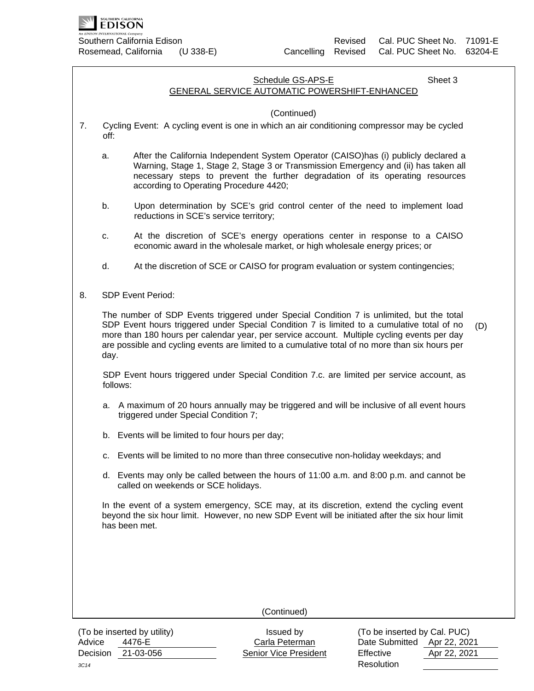

# Schedule GS-APS-E Sheet 3 GENERAL SERVICE AUTOMATIC POWERSHIFT-ENHANCED

#### (Continued)

- 7. Cycling Event: A cycling event is one in which an air conditioning compressor may be cycled off:
	- a. After the California Independent System Operator (CAISO)has (i) publicly declared a Warning, Stage 1, Stage 2, Stage 3 or Transmission Emergency and (ii) has taken all necessary steps to prevent the further degradation of its operating resources according to Operating Procedure 4420;
	- b. Upon determination by SCE's grid control center of the need to implement load reductions in SCE's service territory;
	- c. At the discretion of SCE's energy operations center in response to a CAISO economic award in the wholesale market, or high wholesale energy prices; or
	- d. At the discretion of SCE or CAISO for program evaluation or system contingencies;
- 8. SDP Event Period:

The number of SDP Events triggered under Special Condition 7 is unlimited, but the total SDP Event hours triggered under Special Condition 7 is limited to a cumulative total of no more than 180 hours per calendar year, per service account. Multiple cycling events per day are possible and cycling events are limited to a cumulative total of no more than six hours per day. (D)

SDP Event hours triggered under Special Condition 7.c. are limited per service account, as follows:

- a. A maximum of 20 hours annually may be triggered and will be inclusive of all event hours triggered under Special Condition 7;
- b. Events will be limited to four hours per day;
- c. Events will be limited to no more than three consecutive non-holiday weekdays; and
- d. Events may only be called between the hours of 11:00 a.m. and 8:00 p.m. and cannot be called on weekends or SCE holidays.

In the event of a system emergency, SCE may, at its discretion, extend the cycling event beyond the six hour limit. However, no new SDP Event will be initiated after the six hour limit has been met.

(Continued)

(To be inserted by utility) Issued by Moreover the inserted by Cal. PUC) Advice 4476-E Carla Peterman Date Submitted Apr 22, 2021 Decision 21-03-056 **Senior Vice President** Effective Apr 22, 2021 *3C14* **Resolution**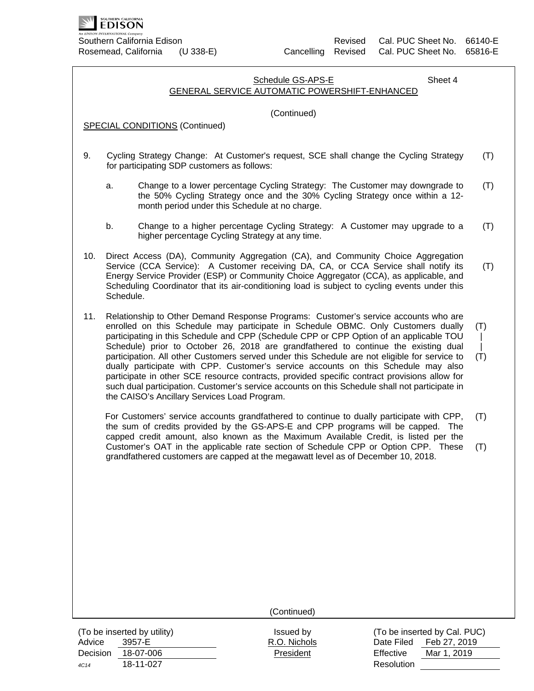

# Schedule GS-APS-E Sheet 4 GENERAL SERVICE AUTOMATIC POWERSHIFT-ENHANCED (Continued) (Continued) SPECIAL CONDITIONS (Continued) 9. Cycling Strategy Change: At Customer's request, SCE shall change the Cycling Strategy for participating SDP customers as follows: a. Change to a lower percentage Cycling Strategy: The Customer may downgrade to the 50% Cycling Strategy once and the 30% Cycling Strategy once within a 12 month period under this Schedule at no charge. b. Change to a higher percentage Cycling Strategy: A Customer may upgrade to a higher percentage Cycling Strategy at any time. 10. Direct Access (DA), Community Aggregation (CA), and Community Choice Aggregation Service (CCA Service): A Customer receiving DA, CA, or CCA Service shall notify its Energy Service Provider (ESP) or Community Choice Aggregator (CCA), as applicable, and Scheduling Coordinator that its air-conditioning load is subject to cycling events under this Schedule. 11. Relationship to Other Demand Response Programs: Customer's service accounts who are enrolled on this Schedule may participate in Schedule OBMC. Only Customers dually participating in this Schedule and CPP (Schedule CPP or CPP Option of an applicable TOU Schedule) prior to October 26, 2018 are grandfathered to continue the existing dual participation. All other Customers served under this Schedule are not eligible for service to dually participate with CPP. Customer's service accounts on this Schedule may also participate in other SCE resource contracts, provided specific contract provisions allow for such dual participation. Customer's service accounts on this Schedule shall not participate in the CAISO's Ancillary Services Load Program. For Customers' service accounts grandfathered to continue to dually participate with CPP, the sum of credits provided by the GS-APS-E and CPP programs will be capped. The capped credit amount, also known as the Maximum Available Credit, is listed per the Customer's OAT in the applicable rate section of Schedule CPP or Option CPP. These grandfathered customers are capped at the megawatt level as of December 10, 2018. (T) (T) (T) (T) (T)  $\blacksquare$  $\blacksquare$ (T) (T) (T)

Advice 3957-E R.O. Nichols Date Filed Feb 27, 2019 Decision 18-07-006 President Effective Mar 1, 2019 *4C14* 18-11-027 Resolution

(To be inserted by utility) Issued by Issued by Issued by (To be inserted by Cal. PUC)